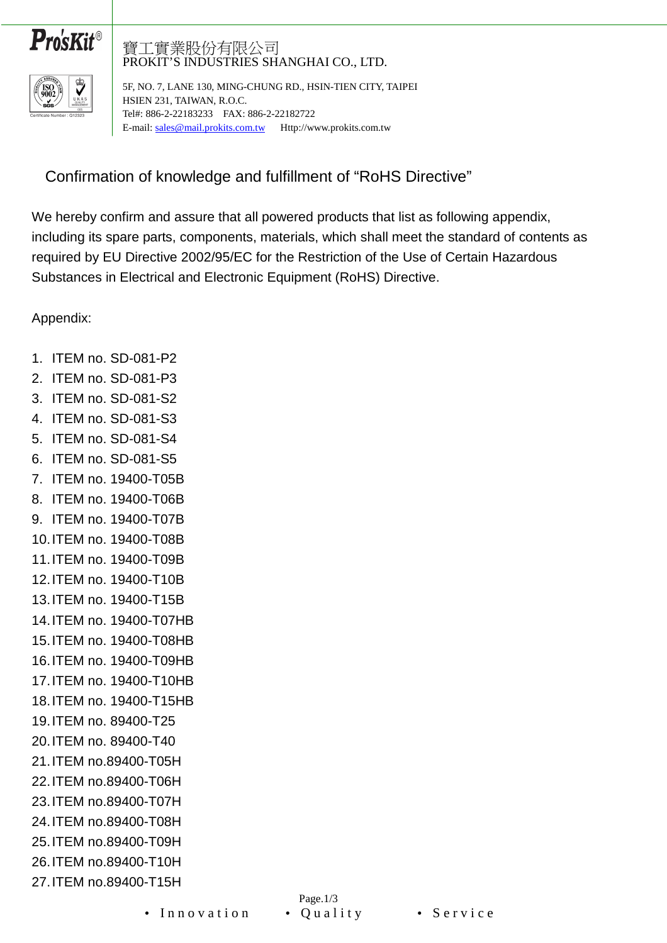



## 寶工實業股份有限公司 PROKIT'S INDUSTRIES SHANGHAI CO., LTD.

5F, NO. 7, LANE 130, MING-CHUNG RD., HSIN-TIEN CITY, TAIPEI HSIEN 231, TAIWAN, R.O.C. Tel#: 886-2-22183233 FAX: 886-2-22182722 E-mail: sales@mail.prokits.com.tw Http://www.prokits.com.tw

## Confirmation of knowledge and fulfillment of "RoHS Directive"

We hereby confirm and assure that all powered products that list as following appendix, including its spare parts, components, materials, which shall meet the standard of contents as required by EU Directive 2002/95/EC for the Restriction of the Use of Certain Hazardous Substances in Electrical and Electronic Equipment (RoHS) Directive.

Appendix:

- 1. ITEM no. SD-081-P2
- 2. ITEM no. SD-081-P3
- 3. ITEM no. SD-081-S2
- 4. ITEM no. SD-081-S3
- 5. ITEM no. SD-081-S4
- 6. ITEM no. SD-081-S5
- 7. ITEM no. 19400-T05B
- 8. ITEM no. 19400-T06B
- 9. ITEM no. 19400-T07B
- 10. ITEM no. 19400-T08B 11. ITEM no. 19400-T09B
- 12. ITEM no. 19400-T10B
- 13. ITEM no. 19400-T15B
- 14. ITEM no. 19400-T07HB
- 15. ITEM no. 19400-T08HB
- 16. ITEM no. 19400-T09HB
- 17. ITEM no. 19400-T10HB
- 18. ITEM no. 19400-T15HB 19. ITEM no. 89400-T25
- 20. ITEM no. 89400-T40
- 21. ITEM no.89400-T05H
- 22. ITEM no.89400-T06H
- 23. ITEM no.89400-T07H
- 24. ITEM no.89400-T08H
- 25. ITEM no.89400-T09H
- 26. ITEM no.89400-T10H 27. ITEM no.89400-T15H
	- Innovation Quality Service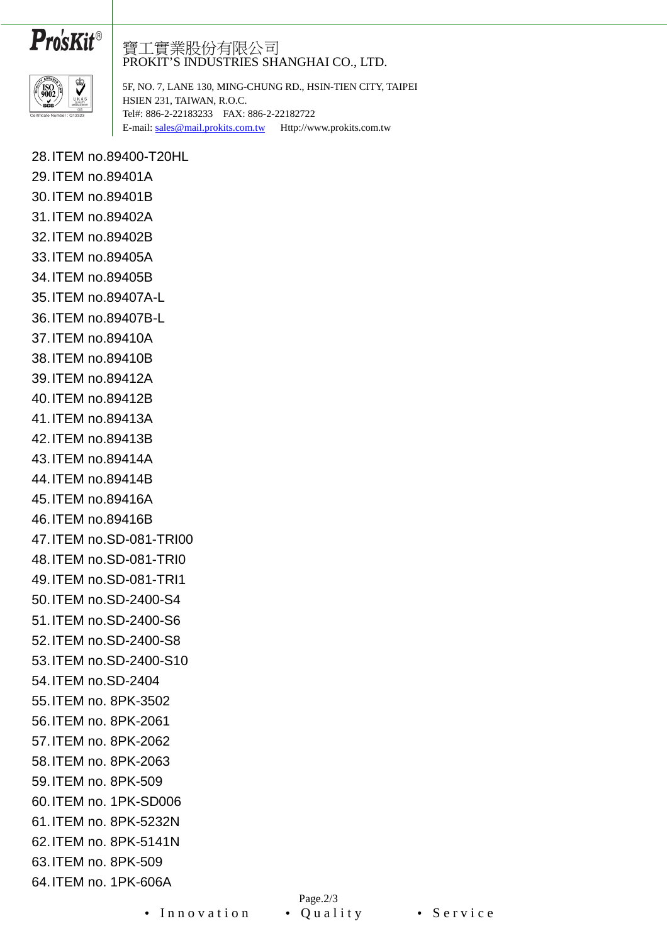



## 寶工實業股份有限公司 PROKIT'S INDUSTRIES SHANGHAI CO., LTD.

5F, NO. 7, LANE 130, MING-CHUNG RD., HSIN-TIEN CITY, TAIPEI HSIEN 231, TAIWAN, R.O.C. Tel#: 886-2-22183233 FAX: 886-2-22182722 E-mail: sales@mail.prokits.com.tw Http://www.prokits.com.tw

28. ITEM no.89400-T20HL 29. ITEM no.89401A 30. ITEM no.89401B 31. ITEM no.89402A 32. ITEM no.89402B 33. ITEM no.89405A 34. ITEM no.89405B 35. ITEM no.89407A-L 36. ITEM no.89407B-L 37. ITEM no.89410A 38. ITEM no.89410B 39. ITEM no.89412A 40. ITEM no.89412B 41. ITEM no.89413A 42. ITEM no.89413B 43. ITEM no.89414A 44. ITEM no.89414B 45. ITEM no.89416A 46. ITEM no.89416B 47. ITEM no.SD-081-TRI00 48. ITEM no.SD-081-TRI0 49. ITEM no.SD-081-TRI1 50. ITEM no.SD-2400-S4 51. ITEM no.SD-2400-S6 52. ITEM no.SD-2400-S8 53. ITEM no.SD-2400-S10 54. ITEM no.SD-2404 55. ITEM no. 8PK-3502 56. ITEM no. 8PK-2061 57. ITEM no. 8PK-2062 58. ITEM no. 8PK-2063 59. ITEM no. 8PK-509 60. ITEM no. 1PK-SD006 61. ITEM no. 8PK-5232N 62. ITEM no. 8PK-5141N 63. ITEM no. 8PK-509 64. ITEM no. 1PK-606A

Page.2/3 • Innovation • Quality • Service